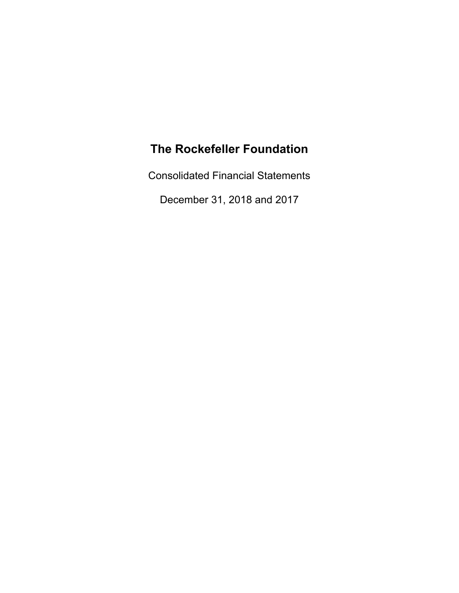Consolidated Financial Statements

December 31, 2018 and 2017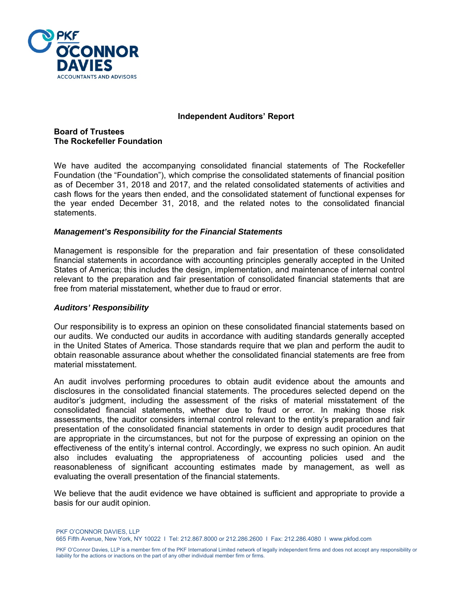

#### **Independent Auditors' Report**

# **Board of Trustees The Rockefeller Foundation**

We have audited the accompanying consolidated financial statements of The Rockefeller Foundation (the "Foundation"), which comprise the consolidated statements of financial position as of December 31, 2018 and 2017, and the related consolidated statements of activities and cash flows for the years then ended, and the consolidated statement of functional expenses for the year ended December 31, 2018, and the related notes to the consolidated financial statements.

### *Management's Responsibility for the Financial Statements*

Management is responsible for the preparation and fair presentation of these consolidated financial statements in accordance with accounting principles generally accepted in the United States of America; this includes the design, implementation, and maintenance of internal control relevant to the preparation and fair presentation of consolidated financial statements that are free from material misstatement, whether due to fraud or error.

### *Auditors' Responsibility*

Our responsibility is to express an opinion on these consolidated financial statements based on our audits. We conducted our audits in accordance with auditing standards generally accepted in the United States of America. Those standards require that we plan and perform the audit to obtain reasonable assurance about whether the consolidated financial statements are free from material misstatement.

An audit involves performing procedures to obtain audit evidence about the amounts and disclosures in the consolidated financial statements. The procedures selected depend on the auditor's judgment, including the assessment of the risks of material misstatement of the consolidated financial statements, whether due to fraud or error. In making those risk assessments, the auditor considers internal control relevant to the entity's preparation and fair presentation of the consolidated financial statements in order to design audit procedures that are appropriate in the circumstances, but not for the purpose of expressing an opinion on the effectiveness of the entity's internal control. Accordingly, we express no such opinion. An audit also includes evaluating the appropriateness of accounting policies used and the reasonableness of significant accounting estimates made by management, as well as evaluating the overall presentation of the financial statements.

We believe that the audit evidence we have obtained is sufficient and appropriate to provide a basis for our audit opinion.

PKF O'Connor Davies, LLP is a member firm of the PKF International Limited network of legally independent firms and does not accept any responsibility or liability for the actions or inactions on the part of any other individual member firm or firms.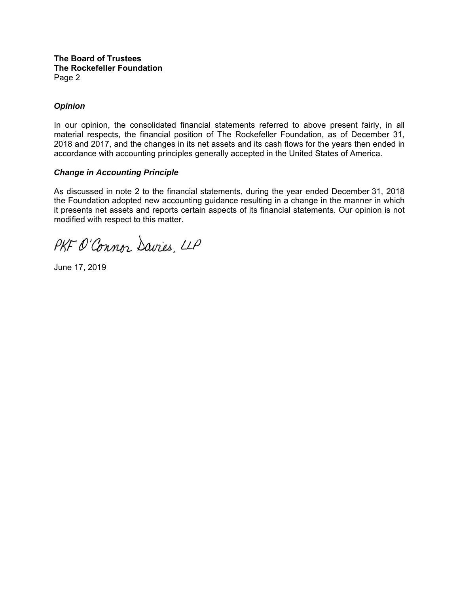**The Board of Trustees The Rockefeller Foundation**  Page 2

# *Opinion*

In our opinion, the consolidated financial statements referred to above present fairly, in all material respects, the financial position of The Rockefeller Foundation, as of December 31, 2018 and 2017, and the changes in its net assets and its cash flows for the years then ended in accordance with accounting principles generally accepted in the United States of America.

### *Change in Accounting Principle*

As discussed in note 2 to the financial statements, during the year ended December 31, 2018 the Foundation adopted new accounting guidance resulting in a change in the manner in which it presents net assets and reports certain aspects of its financial statements. Our opinion is not modified with respect to this matter.

PKF O'Connor Davies, LLP

June 17, 2019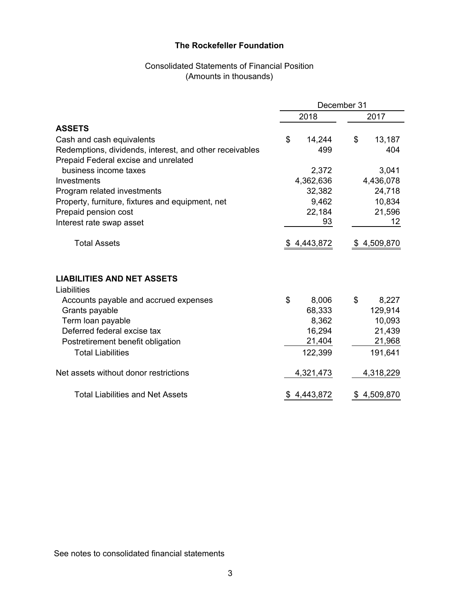# Consolidated Statements of Financial Position (Amounts in thousands)

|                                                         | December 31 |             |    |             |
|---------------------------------------------------------|-------------|-------------|----|-------------|
|                                                         |             | 2018        |    | 2017        |
| <b>ASSETS</b>                                           |             |             |    |             |
| Cash and cash equivalents                               | \$          | 14,244      | \$ | 13,187      |
| Redemptions, dividends, interest, and other receivables |             | 499         |    | 404         |
| Prepaid Federal excise and unrelated                    |             |             |    |             |
| business income taxes                                   |             | 2,372       |    | 3,041       |
| Investments                                             |             | 4,362,636   |    | 4,436,078   |
| Program related investments                             |             | 32,382      |    | 24,718      |
| Property, furniture, fixtures and equipment, net        |             | 9,462       |    | 10,834      |
| Prepaid pension cost                                    |             | 22,184      |    | 21,596      |
| Interest rate swap asset                                |             | 93          |    | 12          |
| <b>Total Assets</b>                                     |             | \$4,443,872 |    | \$4,509,870 |
| <b>LIABILITIES AND NET ASSETS</b><br>Liabilities        |             |             |    |             |
| Accounts payable and accrued expenses                   | \$          | 8,006       | \$ | 8,227       |
| Grants payable                                          |             | 68,333      |    | 129,914     |
| Term loan payable                                       |             | 8,362       |    | 10,093      |
| Deferred federal excise tax                             |             | 16,294      |    | 21,439      |
| Postretirement benefit obligation                       |             | 21,404      |    | 21,968      |
| <b>Total Liabilities</b>                                |             | 122,399     |    | 191,641     |
| Net assets without donor restrictions                   |             | 4,321,473   |    | 4,318,229   |
| <b>Total Liabilities and Net Assets</b>                 |             | 4,443,872   | S  | 4,509,870   |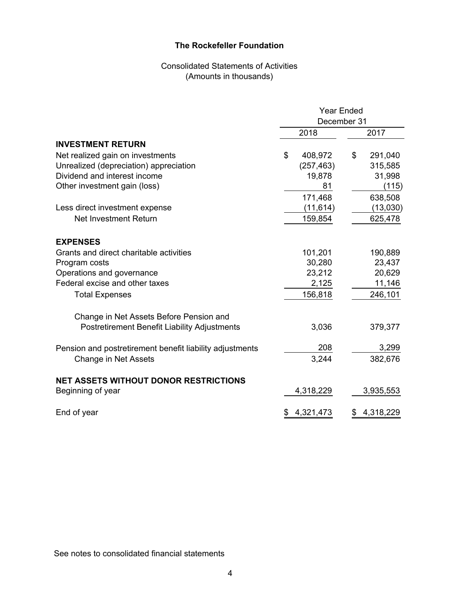# Consolidated Statements of Activities (Amounts in thousands)

|                                                             | <b>Year Ended</b> |                  |  |  |
|-------------------------------------------------------------|-------------------|------------------|--|--|
|                                                             |                   | December 31      |  |  |
|                                                             | 2018              | 2017             |  |  |
| <b>INVESTMENT RETURN</b>                                    |                   |                  |  |  |
| Net realized gain on investments                            | \$<br>408,972     | \$<br>291,040    |  |  |
| Unrealized (depreciation) appreciation                      | (257, 463)        | 315,585          |  |  |
| Dividend and interest income                                | 19,878            | 31,998           |  |  |
| Other investment gain (loss)                                | 81                | (115)            |  |  |
|                                                             | 171,468           | 638,508          |  |  |
| Less direct investment expense                              | (11, 614)         | (13,030)         |  |  |
| <b>Net Investment Return</b>                                | 159,854           | 625,478          |  |  |
| <b>EXPENSES</b>                                             |                   |                  |  |  |
|                                                             |                   |                  |  |  |
| Grants and direct charitable activities                     | 101,201<br>30,280 | 190,889          |  |  |
| Program costs                                               | 23,212            | 23,437<br>20,629 |  |  |
| Operations and governance<br>Federal excise and other taxes |                   |                  |  |  |
|                                                             | 2,125             | 11,146           |  |  |
| <b>Total Expenses</b>                                       | 156,818           | 246,101          |  |  |
| Change in Net Assets Before Pension and                     |                   |                  |  |  |
| <b>Postretirement Benefit Liability Adjustments</b>         | 3,036             | 379,377          |  |  |
| Pension and postretirement benefit liability adjustments    | 208               | 3,299            |  |  |
| <b>Change in Net Assets</b>                                 | 3,244             | 382,676          |  |  |
| <b>NET ASSETS WITHOUT DONOR RESTRICTIONS</b>                |                   |                  |  |  |
| Beginning of year                                           | 4,318,229         | 3,935,553        |  |  |
|                                                             |                   |                  |  |  |
| End of year                                                 | \$4,321,473       | 4,318,229<br>\$  |  |  |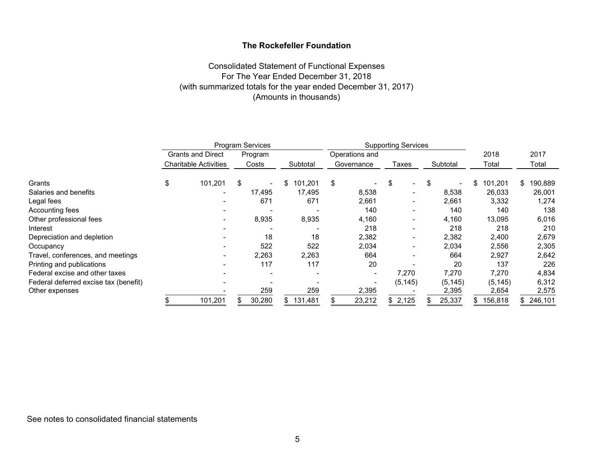# Consolidated Statement of Functional Expenses For The Year Ended December 31, 2018 (with summarized totals for the year ended December 31, 2017) (Amounts in thousands)

|                                       | <b>Program Services</b> |                              |  | <b>Supporting Services</b> |                |    |                          |          |    |          |               |               |
|---------------------------------------|-------------------------|------------------------------|--|----------------------------|----------------|----|--------------------------|----------|----|----------|---------------|---------------|
|                                       |                         | <b>Grants and Direct</b>     |  | Program                    |                |    | Operations and           |          |    |          | 2018          | 2017          |
|                                       |                         | <b>Charitable Activities</b> |  | Costs                      | Subtotal       |    | Governance               | Taxes    |    | Subtotal | Total         | Total         |
| Grants                                | \$                      | 101,201                      |  |                            | 101,201        | \$ | $\overline{\phantom{0}}$ | \$<br>н. | \$ |          | \$<br>101,201 | \$<br>190,889 |
| Salaries and benefits                 |                         |                              |  | 17,495                     | 17,495         |    | 8,538                    | ۰.       |    | 8,538    | 26,033        | 26,001        |
| Legal fees                            |                         |                              |  | 671                        | 671            |    | 2,661                    | ۰.       |    | 2,661    | 3,332         | 1,274         |
| Accounting fees                       |                         |                              |  |                            |                |    | 140                      |          |    | 140      | 140           | 138           |
| Other professional fees               |                         |                              |  | 8,935                      | 8,935          |    | 4,160                    | ۰.       |    | 4,160    | 13,095        | 6,016         |
| Interest                              |                         |                              |  |                            |                |    | 218                      |          |    | 218      | 218           | 210           |
| Depreciation and depletion            |                         |                              |  | 18                         | 18             |    | 2,382                    |          |    | 2,382    | 2,400         | 2,679         |
| Occupancy                             |                         |                              |  | 522                        | 522            |    | 2,034                    |          |    | 2,034    | 2,556         | 2,305         |
| Travel, conferences, and meetings     |                         |                              |  | 2,263                      | 2,263          |    | 664                      |          |    | 664      | 2,927         | 2,642         |
| Printing and publications             |                         |                              |  | 117                        | 117            |    | 20                       |          |    | 20       | 137           | 226           |
| Federal excise and other taxes        |                         |                              |  |                            |                |    |                          | 7,270    |    | 7,270    | 7,270         | 4,834         |
| Federal deferred excise tax (benefit) |                         |                              |  |                            |                |    |                          | (5, 145) |    | (5, 145) | (5, 145)      | 6,312         |
| Other expenses                        |                         |                              |  | 259                        | 259            |    | 2,395                    |          |    | 2,395    | 2,654         | 2,575         |
|                                       |                         | 101,201                      |  | 30,280                     | 131,481<br>\$. |    | 23,212                   | \$2,125  |    | 25,337   | 156,818       | 246,101       |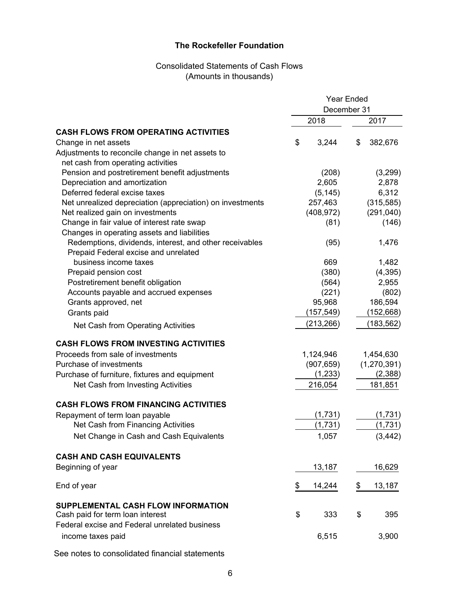# Consolidated Statements of Cash Flows (Amounts in thousands)

|                                                                                   | <b>Year Ended</b> |            |    |               |
|-----------------------------------------------------------------------------------|-------------------|------------|----|---------------|
|                                                                                   | December 31       |            |    |               |
|                                                                                   |                   | 2018       |    | 2017          |
| <b>CASH FLOWS FROM OPERATING ACTIVITIES</b>                                       |                   |            |    |               |
| Change in net assets                                                              | \$                | 3,244      | \$ | 382,676       |
| Adjustments to reconcile change in net assets to                                  |                   |            |    |               |
| net cash from operating activities                                                |                   |            |    |               |
| Pension and postretirement benefit adjustments                                    |                   | (208)      |    | (3,299)       |
| Depreciation and amortization                                                     |                   | 2,605      |    | 2,878         |
| Deferred federal excise taxes                                                     |                   | (5, 145)   |    | 6,312         |
| Net unrealized depreciation (appreciation) on investments                         |                   | 257,463    |    | (315, 585)    |
| Net realized gain on investments                                                  |                   | (408, 972) |    | (291, 040)    |
| Change in fair value of interest rate swap                                        |                   | (81)       |    | (146)         |
| Changes in operating assets and liabilities                                       |                   |            |    |               |
| Redemptions, dividends, interest, and other receivables                           |                   | (95)       |    | 1,476         |
| Prepaid Federal excise and unrelated                                              |                   |            |    |               |
| business income taxes                                                             |                   | 669        |    | 1,482         |
| Prepaid pension cost                                                              |                   | (380)      |    | (4, 395)      |
| Postretirement benefit obligation                                                 |                   | (564)      |    | 2,955         |
| Accounts payable and accrued expenses                                             |                   | (221)      |    | (802)         |
| Grants approved, net                                                              |                   | 95,968     |    | 186,594       |
| Grants paid                                                                       |                   | (157,549)  |    | (152, 668)    |
| Net Cash from Operating Activities                                                |                   | (213, 266) |    | (183, 562)    |
| <b>CASH FLOWS FROM INVESTING ACTIVITIES</b>                                       |                   |            |    |               |
| Proceeds from sale of investments                                                 |                   | 1,124,946  |    | 1,454,630     |
| Purchase of investments                                                           |                   | (907, 659) |    | (1, 270, 391) |
| Purchase of furniture, fixtures and equipment                                     |                   | (1,233)    |    | (2,388)       |
| Net Cash from Investing Activities                                                |                   | 216,054    |    | 181,851       |
| <b>CASH FLOWS FROM FINANCING ACTIVITIES</b>                                       |                   |            |    |               |
| Repayment of term loan payable                                                    |                   | (1,731)    |    | (1,731)       |
| Net Cash from Financing Activities                                                |                   | (1,731)    |    | (1,731)       |
| Net Change in Cash and Cash Equivalents                                           |                   | 1,057      |    | (3, 442)      |
| <b>CASH AND CASH EQUIVALENTS</b>                                                  |                   |            |    |               |
| Beginning of year                                                                 |                   | 13,187     |    | 16,629        |
| End of year                                                                       | \$                | 14,244     | \$ | 13,187        |
| SUPPLEMENTAL CASH FLOW INFORMATION                                                |                   |            |    |               |
| Cash paid for term loan interest<br>Federal excise and Federal unrelated business | \$                | 333        | \$ | 395           |
| income taxes paid                                                                 |                   | 6,515      |    | 3,900         |
|                                                                                   |                   |            |    |               |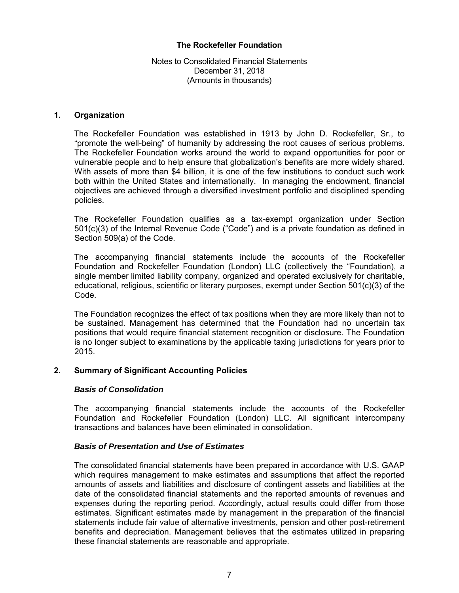Notes to Consolidated Financial Statements December 31, 2018 (Amounts in thousands)

#### **1. Organization**

 The Rockefeller Foundation was established in 1913 by John D. Rockefeller, Sr., to "promote the well-being" of humanity by addressing the root causes of serious problems. The Rockefeller Foundation works around the world to expand opportunities for poor or vulnerable people and to help ensure that globalization's benefits are more widely shared. With assets of more than \$4 billion, it is one of the few institutions to conduct such work both within the United States and internationally. In managing the endowment, financial objectives are achieved through a diversified investment portfolio and disciplined spending policies.

 The Rockefeller Foundation qualifies as a tax-exempt organization under Section 501(c)(3) of the Internal Revenue Code ("Code") and is a private foundation as defined in Section 509(a) of the Code.

 The accompanying financial statements include the accounts of the Rockefeller Foundation and Rockefeller Foundation (London) LLC (collectively the "Foundation), a single member limited liability company, organized and operated exclusively for charitable, educational, religious, scientific or literary purposes, exempt under Section 501(c)(3) of the Code.

 The Foundation recognizes the effect of tax positions when they are more likely than not to be sustained. Management has determined that the Foundation had no uncertain tax positions that would require financial statement recognition or disclosure. The Foundation is no longer subject to examinations by the applicable taxing jurisdictions for years prior to 2015.

### **2. Summary of Significant Accounting Policies**

### *Basis of Consolidation*

 The accompanying financial statements include the accounts of the Rockefeller Foundation and Rockefeller Foundation (London) LLC. All significant intercompany transactions and balances have been eliminated in consolidation.

### *Basis of Presentation and Use of Estimates*

 The consolidated financial statements have been prepared in accordance with U.S. GAAP which requires management to make estimates and assumptions that affect the reported amounts of assets and liabilities and disclosure of contingent assets and liabilities at the date of the consolidated financial statements and the reported amounts of revenues and expenses during the reporting period. Accordingly, actual results could differ from those estimates. Significant estimates made by management in the preparation of the financial statements include fair value of alternative investments, pension and other post-retirement benefits and depreciation. Management believes that the estimates utilized in preparing these financial statements are reasonable and appropriate.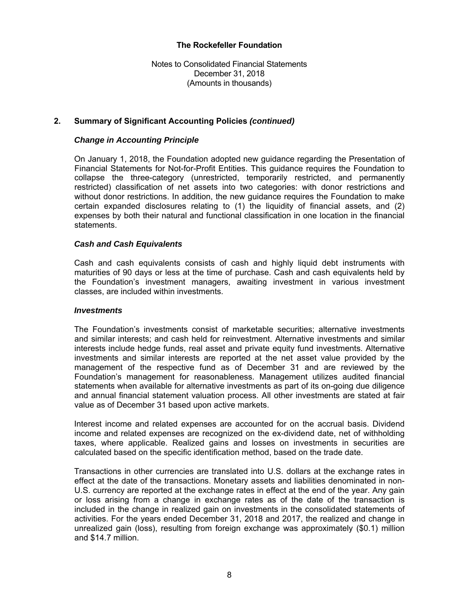Notes to Consolidated Financial Statements December 31, 2018 (Amounts in thousands)

# **2. Summary of Significant Accounting Policies** *(continued)*

### *Change in Accounting Principle*

 On January 1, 2018, the Foundation adopted new guidance regarding the Presentation of Financial Statements for Not-for-Profit Entities. This guidance requires the Foundation to collapse the three-category (unrestricted, temporarily restricted, and permanently restricted) classification of net assets into two categories: with donor restrictions and without donor restrictions. In addition, the new guidance requires the Foundation to make certain expanded disclosures relating to (1) the liquidity of financial assets, and (2) expenses by both their natural and functional classification in one location in the financial statements.

### *Cash and Cash Equivalents*

 Cash and cash equivalents consists of cash and highly liquid debt instruments with maturities of 90 days or less at the time of purchase. Cash and cash equivalents held by the Foundation's investment managers, awaiting investment in various investment classes, are included within investments.

#### *Investments*

 The Foundation's investments consist of marketable securities; alternative investments and similar interests; and cash held for reinvestment. Alternative investments and similar interests include hedge funds, real asset and private equity fund investments. Alternative investments and similar interests are reported at the net asset value provided by the management of the respective fund as of December 31 and are reviewed by the Foundation's management for reasonableness. Management utilizes audited financial statements when available for alternative investments as part of its on-going due diligence and annual financial statement valuation process. All other investments are stated at fair value as of December 31 based upon active markets.

 Interest income and related expenses are accounted for on the accrual basis. Dividend income and related expenses are recognized on the ex-dividend date, net of withholding taxes, where applicable. Realized gains and losses on investments in securities are calculated based on the specific identification method, based on the trade date.

 Transactions in other currencies are translated into U.S. dollars at the exchange rates in effect at the date of the transactions. Monetary assets and liabilities denominated in non-U.S. currency are reported at the exchange rates in effect at the end of the year. Any gain or loss arising from a change in exchange rates as of the date of the transaction is included in the change in realized gain on investments in the consolidated statements of activities. For the years ended December 31, 2018 and 2017, the realized and change in unrealized gain (loss), resulting from foreign exchange was approximately (\$0.1) million and \$14.7 million.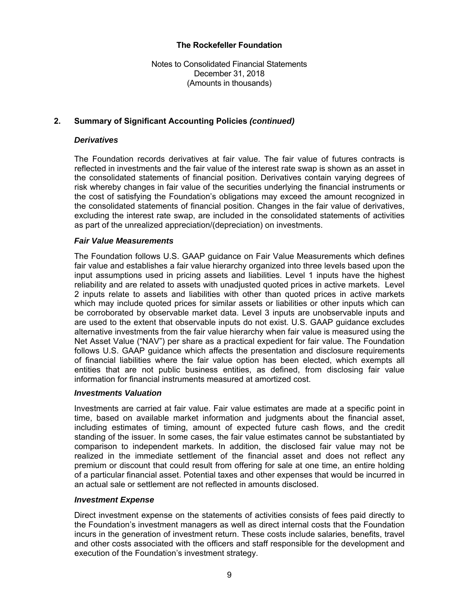Notes to Consolidated Financial Statements December 31, 2018 (Amounts in thousands)

# **2. Summary of Significant Accounting Policies** *(continued)*

### *Derivatives*

 The Foundation records derivatives at fair value. The fair value of futures contracts is reflected in investments and the fair value of the interest rate swap is shown as an asset in the consolidated statements of financial position. Derivatives contain varying degrees of risk whereby changes in fair value of the securities underlying the financial instruments or the cost of satisfying the Foundation's obligations may exceed the amount recognized in the consolidated statements of financial position. Changes in the fair value of derivatives, excluding the interest rate swap, are included in the consolidated statements of activities as part of the unrealized appreciation/(depreciation) on investments.

### *Fair Value Measurements*

 The Foundation follows U.S. GAAP guidance on Fair Value Measurements which defines fair value and establishes a fair value hierarchy organized into three levels based upon the input assumptions used in pricing assets and liabilities. Level 1 inputs have the highest reliability and are related to assets with unadjusted quoted prices in active markets. Level 2 inputs relate to assets and liabilities with other than quoted prices in active markets which may include quoted prices for similar assets or liabilities or other inputs which can be corroborated by observable market data. Level 3 inputs are unobservable inputs and are used to the extent that observable inputs do not exist. U.S. GAAP guidance excludes alternative investments from the fair value hierarchy when fair value is measured using the Net Asset Value ("NAV") per share as a practical expedient for fair value. The Foundation follows U.S. GAAP guidance which affects the presentation and disclosure requirements of financial liabilities where the fair value option has been elected, which exempts all entities that are not public business entities, as defined, from disclosing fair value information for financial instruments measured at amortized cost.

### *Investments Valuation*

 Investments are carried at fair value. Fair value estimates are made at a specific point in time, based on available market information and judgments about the financial asset, including estimates of timing, amount of expected future cash flows, and the credit standing of the issuer. In some cases, the fair value estimates cannot be substantiated by comparison to independent markets. In addition, the disclosed fair value may not be realized in the immediate settlement of the financial asset and does not reflect any premium or discount that could result from offering for sale at one time, an entire holding of a particular financial asset. Potential taxes and other expenses that would be incurred in an actual sale or settlement are not reflected in amounts disclosed.

### *Investment Expense*

 Direct investment expense on the statements of activities consists of fees paid directly to the Foundation's investment managers as well as direct internal costs that the Foundation incurs in the generation of investment return. These costs include salaries, benefits, travel and other costs associated with the officers and staff responsible for the development and execution of the Foundation's investment strategy.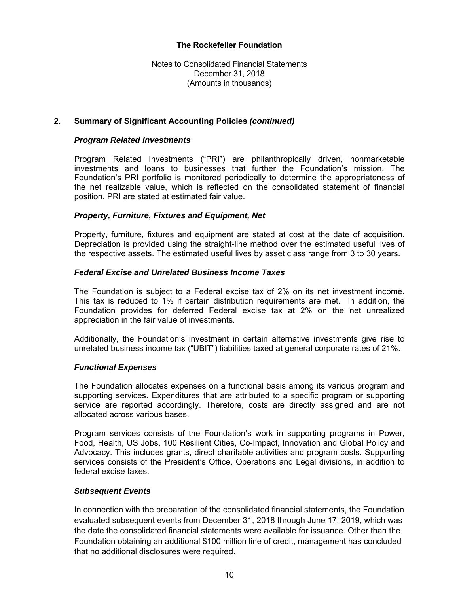Notes to Consolidated Financial Statements December 31, 2018 (Amounts in thousands)

# **2. Summary of Significant Accounting Policies** *(continued)*

### *Program Related Investments*

Program Related Investments ("PRI") are philanthropically driven, nonmarketable investments and loans to businesses that further the Foundation's mission. The Foundation's PRI portfolio is monitored periodically to determine the appropriateness of the net realizable value, which is reflected on the consolidated statement of financial position. PRI are stated at estimated fair value.

### *Property, Furniture, Fixtures and Equipment, Net*

 Property, furniture, fixtures and equipment are stated at cost at the date of acquisition. Depreciation is provided using the straight-line method over the estimated useful lives of the respective assets. The estimated useful lives by asset class range from 3 to 30 years.

# *Federal Excise and Unrelated Business Income Taxes*

The Foundation is subject to a Federal excise tax of 2% on its net investment income. This tax is reduced to 1% if certain distribution requirements are met. In addition, the Foundation provides for deferred Federal excise tax at 2% on the net unrealized appreciation in the fair value of investments.

Additionally, the Foundation's investment in certain alternative investments give rise to unrelated business income tax ("UBIT") liabilities taxed at general corporate rates of 21%.

### *Functional Expenses*

The Foundation allocates expenses on a functional basis among its various program and supporting services. Expenditures that are attributed to a specific program or supporting service are reported accordingly. Therefore, costs are directly assigned and are not allocated across various bases.

Program services consists of the Foundation's work in supporting programs in Power, Food, Health, US Jobs, 100 Resilient Cities, Co-Impact, Innovation and Global Policy and Advocacy. This includes grants, direct charitable activities and program costs. Supporting services consists of the President's Office, Operations and Legal divisions, in addition to federal excise taxes.

### *Subsequent Events*

In connection with the preparation of the consolidated financial statements, the Foundation evaluated subsequent events from December 31, 2018 through June 17, 2019, which was the date the consolidated financial statements were available for issuance. Other than the Foundation obtaining an additional \$100 million line of credit, management has concluded that no additional disclosures were required.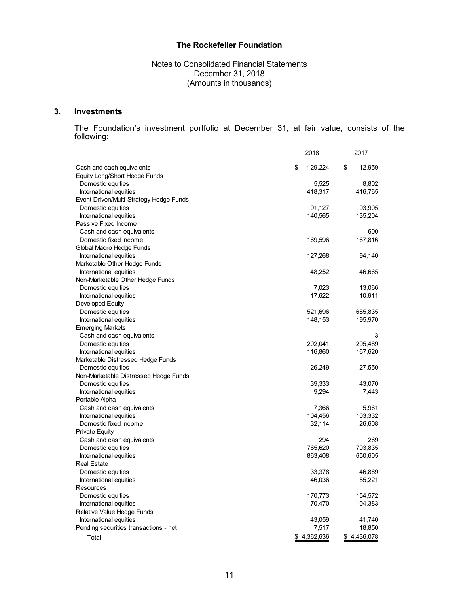Notes to Consolidated Financial Statements December 31, 2018 (Amounts in thousands)

# **3. Investments**

The Foundation's investment portfolio at December 31, at fair value, consists of the following:

|                                         | 2018            | 2017            |
|-----------------------------------------|-----------------|-----------------|
| Cash and cash equivalents               | \$<br>129,224   | \$<br>112,959   |
| Equity Long/Short Hedge Funds           |                 |                 |
| Domestic equities                       | 5,525           | 8,802           |
| International equities                  | 418,317         | 416,765         |
| Event Driven/Multi-Strategy Hedge Funds |                 |                 |
| Domestic equities                       | 91,127          | 93,905          |
| International equities                  | 140,565         | 135,204         |
| Passive Fixed Income                    |                 |                 |
| Cash and cash equivalents               |                 | 600             |
| Domestic fixed income                   | 169,596         | 167,816         |
| Global Macro Hedge Funds                |                 |                 |
| International equities                  | 127,268         | 94,140          |
| Marketable Other Hedge Funds            |                 |                 |
| International equities                  | 48,252          | 46,665          |
| Non-Marketable Other Hedge Funds        |                 |                 |
| Domestic equities                       | 7,023           | 13,066          |
| International equities                  | 17,622          | 10,911          |
| Developed Equity                        |                 |                 |
| Domestic equities                       | 521,696         | 685,835         |
| International equities                  | 148,153         | 195,970         |
| <b>Emerging Markets</b>                 |                 |                 |
| Cash and cash equivalents               |                 | 3               |
| Domestic equities                       | 202,041         | 295,489         |
| International equities                  | 116,860         | 167,620         |
| Marketable Distressed Hedge Funds       |                 |                 |
| Domestic equities                       | 26,249          | 27,550          |
| Non-Marketable Distressed Hedge Funds   |                 |                 |
| Domestic equities                       | 39,333          | 43,070          |
| International equities                  | 9,294           | 7,443           |
| Portable Alpha                          |                 |                 |
| Cash and cash equivalents               | 7,366           | 5,961           |
| International equities                  | 104,456         | 103,332         |
| Domestic fixed income                   | 32,114          | 26,608          |
| <b>Private Equity</b>                   |                 |                 |
| Cash and cash equivalents               | 294             | 269             |
| Domestic equities                       | 765,620         | 703,835         |
| International equities                  | 863,408         | 650,605         |
| <b>Real Estate</b>                      |                 |                 |
| Domestic equities                       | 33,378          | 46,889          |
| International equities                  | 46,036          | 55,221          |
| Resources                               |                 |                 |
| Domestic equities                       | 170,773         | 154,572         |
| International equities                  | 70,470          | 104,383         |
| Relative Value Hedge Funds              |                 |                 |
| International equities                  | 43,059          | 41,740          |
| Pending securities transactions - net   | 7,517           | 18,850          |
| Total                                   | 4,362,636<br>\$ | \$<br>4,436,078 |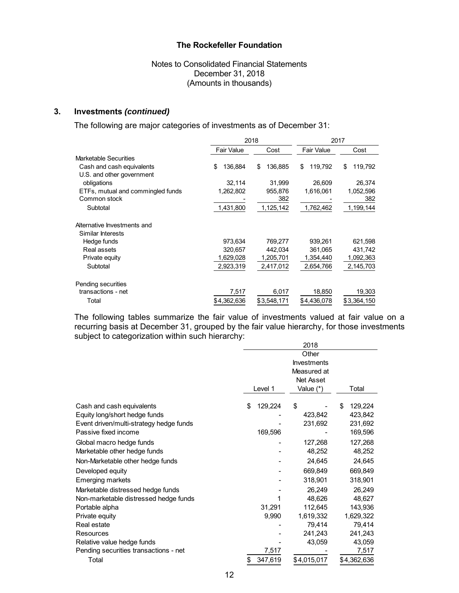# Notes to Consolidated Financial Statements December 31, 2018 (Amounts in thousands)

# **3. Investments** *(continued)*

The following are major categories of investments as of December 31:

|                                   |                   | 2018          | 2017              |               |  |
|-----------------------------------|-------------------|---------------|-------------------|---------------|--|
|                                   | <b>Fair Value</b> | Cost          | <b>Fair Value</b> | Cost          |  |
| <b>Marketable Securities</b>      |                   |               |                   |               |  |
| Cash and cash equivalents         | 136.884<br>\$     | 136,885<br>\$ | 119,792<br>\$     | 119,792<br>\$ |  |
| U.S. and other government         |                   |               |                   |               |  |
| obligations                       | 32,114            | 31,999        | 26,609            | 26,374        |  |
| ETFs, mutual and commingled funds | 1,262,802         | 955,876       | 1,616,061         | 1,052,596     |  |
| Common stock                      |                   | 382           |                   | 382           |  |
| Subtotal                          | 1,431,800         | 1,125,142     | 1,762,462         | 1,199,144     |  |
| Alternative Investments and       |                   |               |                   |               |  |
| Similar Interests                 |                   |               |                   |               |  |
| Hedge funds                       | 973,634           | 769,277       | 939,261           | 621,598       |  |
| Real assets                       | 320.657           | 442.034       | 361.065           | 431,742       |  |
| Private equity                    | 1,629,028         | 1,205,701     | 1,354,440         | 1,092,363     |  |
| Subtotal                          | 2,923,319         | 2,417,012     | 2,654,766         | 2,145,703     |  |
| Pending securities                |                   |               |                   |               |  |
| transactions - net                | 7,517             | 6,017         | 18,850            | 19,303        |  |
| Total                             | \$4,362,636       | \$3,548,171   | \$4,436,078       | \$3,364,150   |  |

The following tables summarize the fair value of investments valued at fair value on a recurring basis at December 31, grouped by the fair value hierarchy, for those investments subject to categorization within such hierarchy:

|                                         |               | 2018               |               |
|-----------------------------------------|---------------|--------------------|---------------|
|                                         |               | Other              |               |
|                                         |               | <b>Investments</b> |               |
|                                         |               | Measured at        |               |
|                                         |               | <b>Net Asset</b>   |               |
|                                         | Level 1       | Value $(*)$        | Total         |
| Cash and cash equivalents               | 129,224<br>\$ | \$                 | 129,224<br>\$ |
| Equity long/short hedge funds           |               | 423,842            | 423,842       |
| Event driven/multi-strategy hedge funds |               | 231,692            | 231,692       |
| Passive fixed income                    | 169,596       |                    | 169,596       |
| Global macro hedge funds                |               | 127,268            | 127,268       |
| Marketable other hedge funds            |               | 48,252             | 48,252        |
| Non-Marketable other hedge funds        |               | 24,645             | 24,645        |
| Developed equity                        |               | 669,849            | 669,849       |
| <b>Emerging markets</b>                 |               | 318,901            | 318,901       |
| Marketable distressed hedge funds       |               | 26,249             | 26,249        |
| Non-marketable distressed hedge funds   | 1             | 48,626             | 48,627        |
| Portable alpha                          | 31,291        | 112,645            | 143,936       |
| Private equity                          | 9,990         | 1,619,332          | 1,629,322     |
| Real estate                             |               | 79,414             | 79,414        |
| Resources                               |               | 241,243            | 241,243       |
| Relative value hedge funds              |               | 43,059             | 43,059        |
| Pending securities transactions - net   | 7,517         |                    | 7,517         |
| Total                                   | 347,619<br>\$ | \$4,015,017        | \$4,362,636   |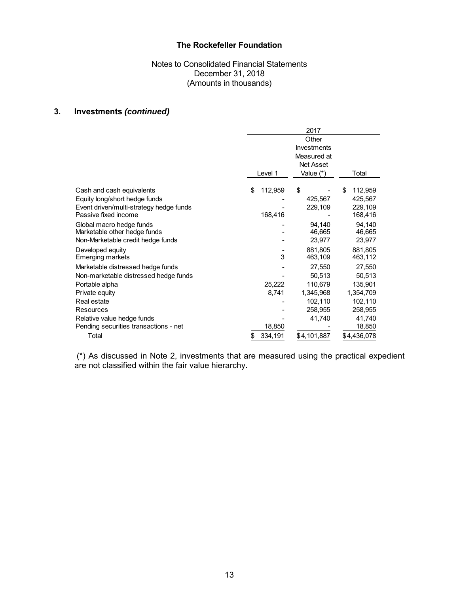# Notes to Consolidated Financial Statements December 31, 2018 (Amounts in thousands)

# **3. Investments** *(continued)*

|                                         |               | 2017               |               |
|-----------------------------------------|---------------|--------------------|---------------|
|                                         |               | Other              |               |
|                                         |               | <b>Investments</b> |               |
|                                         |               | Measured at        |               |
|                                         |               | Net Asset          |               |
|                                         | Level 1       | Value (*)          | Total         |
| Cash and cash equivalents               | 112,959<br>\$ | \$                 | 112,959<br>\$ |
| Equity long/short hedge funds           |               | 425,567            | 425,567       |
| Event driven/multi-strategy hedge funds |               | 229,109            | 229,109       |
| Passive fixed income                    | 168,416       |                    | 168,416       |
| Global macro hedge funds                |               | 94,140             | 94,140        |
| Marketable other hedge funds            |               | 46,665             | 46,665        |
| Non-Marketable credit hedge funds       |               | 23,977             | 23,977        |
| Developed equity                        |               | 881,805            | 881,805       |
| Emerging markets                        | 3             | 463,109            | 463,112       |
| Marketable distressed hedge funds       |               | 27,550             | 27,550        |
| Non-marketable distressed hedge funds   |               | 50,513             | 50,513        |
| Portable alpha                          | 25,222        | 110,679            | 135,901       |
| Private equity                          | 8,741         | 1,345,968          | 1,354,709     |
| Real estate                             |               | 102,110            | 102,110       |
| Resources                               |               | 258,955            | 258,955       |
| Relative value hedge funds              |               | 41,740             | 41,740        |
| Pending securities transactions - net   | 18,850        |                    | 18,850        |
| Total                                   | 334,191<br>\$ | \$4,101,887        | \$4,436,078   |

 (\*) As discussed in Note 2, investments that are measured using the practical expedient are not classified within the fair value hierarchy.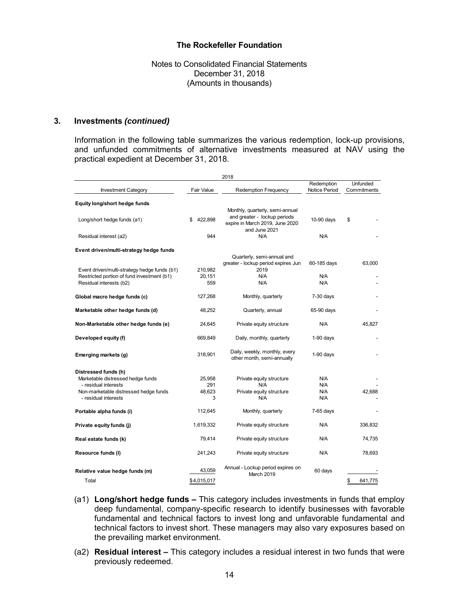# Notes to Consolidated Financial Statements December 31, 2018 (Amounts in thousands)

#### **3. Investments** *(continued)*

Information in the following table summarizes the various redemption, lock-up provisions, and unfunded commitments of alternative investments measured at NAV using the practical expedient at December 31, 2018.

|                                              |                | 2018                                                                                                                |                             |                         |
|----------------------------------------------|----------------|---------------------------------------------------------------------------------------------------------------------|-----------------------------|-------------------------|
| <b>Investment Category</b>                   | Fair Value     | <b>Redemption Frequency</b>                                                                                         | Redemption<br>Notice Period | Unfunded<br>Commitments |
|                                              |                |                                                                                                                     |                             |                         |
| Equity long/short hedge funds                |                |                                                                                                                     |                             |                         |
| Long/short hedge funds (a1)                  | 422,898<br>\$. | Monthly, quarterly, semi-annual<br>and greater - lockup periods<br>expire in March 2019, June 2020<br>and June 2021 | $10-90$ days                | \$                      |
| Residual interest (a2)                       | 944            | N/A                                                                                                                 | N/A                         |                         |
| Event driven/multi-strategy hedge funds      |                |                                                                                                                     |                             |                         |
|                                              |                | Quarterly, semi-annual and                                                                                          |                             |                         |
|                                              |                | greater - lockup period expires Jun                                                                                 | 60-185 days                 | 63,000                  |
| Event driven/multi-strategy hedge funds (b1) | 210,982        | 2019                                                                                                                |                             |                         |
| Restricted portion of fund investment (b1)   | 20,151         | N/A                                                                                                                 | N/A                         |                         |
| Residual interests (b2)                      | 559            | N/A                                                                                                                 | N/A                         |                         |
| Global macro hedge funds (c)                 | 127,268        | Monthly, quarterly                                                                                                  | $7-30$ days                 |                         |
| Marketable other hedge funds (d)             | 48.252         | Quarterly, annual                                                                                                   | 65-90 days                  |                         |
| Non-Marketable other hedge funds (e)         | 24,645         | Private equity structure                                                                                            | N/A                         | 45,827                  |
| Developed equity (f)                         | 669,849        | Daily, monthly, quarterly                                                                                           | $1-90$ days                 |                         |
| Emerging markets (g)                         | 318,901        | Daily, weekly, monthly, every<br>other month, semi-annually                                                         | $1-90$ days                 |                         |
| Distressed funds (h)                         |                |                                                                                                                     |                             |                         |
| Marketable distressed hedge funds            | 25,958         | Private equity structure                                                                                            | N/A                         |                         |
| - residual interests                         | 291            | N/A                                                                                                                 | N/A                         |                         |
| Non-marketable distressed hedge funds        | 48.623         | Private equity structure                                                                                            | N/A                         | 42,688                  |
| - residual interests                         | 3              | N/A                                                                                                                 | N/A                         |                         |
| Portable alpha funds (i)                     | 112,645        | Monthly, quarterly                                                                                                  | 7-65 days                   |                         |
| Private equity funds (j)                     | 1,619,332      | Private equity structure                                                                                            | N/A                         | 336,832                 |
| Real estate funds (k)                        | 79,414         | Private equity structure                                                                                            | N/A                         | 74,735                  |
| Resource funds (I)                           | 241,243        | Private equity structure                                                                                            | N/A                         | 78,693                  |
| Relative value hedge funds (m)               | 43,059         | Annual - Lockup period expires on                                                                                   | 60 days                     |                         |
| Total                                        | \$4,015,017    | March 2019                                                                                                          |                             | \$<br>641,775           |
|                                              |                |                                                                                                                     |                             |                         |

- (a1) **Long/short hedge funds –** This category includes investments in funds that employ deep fundamental, company-specific research to identify businesses with favorable fundamental and technical factors to invest long and unfavorable fundamental and technical factors to invest short. These managers may also vary exposures based on the prevailing market environment.
- (a2) **Residual interest** This category includes a residual interest in two funds that were previously redeemed.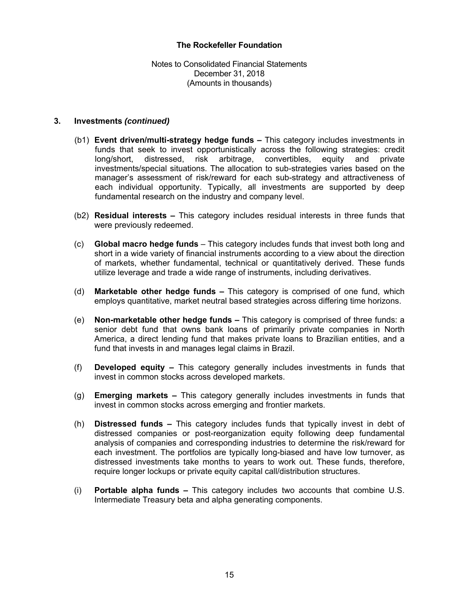Notes to Consolidated Financial Statements December 31, 2018 (Amounts in thousands)

### **3. Investments** *(continued)*

- (b1) **Event driven/multi-strategy hedge funds –** This category includes investments in funds that seek to invest opportunistically across the following strategies: credit long/short, distressed, risk arbitrage, convertibles, equity and private investments/special situations. The allocation to sub-strategies varies based on the manager's assessment of risk/reward for each sub-strategy and attractiveness of each individual opportunity. Typically, all investments are supported by deep fundamental research on the industry and company level.
- (b2) **Residual interests** This category includes residual interests in three funds that were previously redeemed.
- (c) **Global macro hedge funds**  This category includes funds that invest both long and short in a wide variety of financial instruments according to a view about the direction of markets, whether fundamental, technical or quantitatively derived. These funds utilize leverage and trade a wide range of instruments, including derivatives.
- (d) **Marketable other hedge funds –** This category is comprised of one fund, which employs quantitative, market neutral based strategies across differing time horizons.
- (e) **Non-marketable other hedge funds** This category is comprised of three funds: a senior debt fund that owns bank loans of primarily private companies in North America, a direct lending fund that makes private loans to Brazilian entities, and a fund that invests in and manages legal claims in Brazil.
- (f) **Developed equity –** This category generally includes investments in funds that invest in common stocks across developed markets.
- (g) **Emerging markets –** This category generally includes investments in funds that invest in common stocks across emerging and frontier markets.
- (h) **Distressed funds –** This category includes funds that typically invest in debt of distressed companies or post-reorganization equity following deep fundamental analysis of companies and corresponding industries to determine the risk/reward for each investment. The portfolios are typically long-biased and have low turnover, as distressed investments take months to years to work out. These funds, therefore, require longer lockups or private equity capital call/distribution structures.
- (i) **Portable alpha funds –** This category includes two accounts that combine U.S. Intermediate Treasury beta and alpha generating components.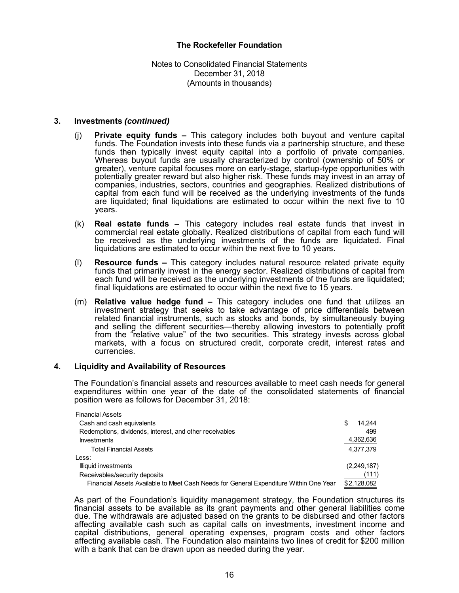Notes to Consolidated Financial Statements December 31, 2018 (Amounts in thousands)

#### **3. Investments** *(continued)*

- (j) **Private equity funds –** This category includes both buyout and venture capital funds. The Foundation invests into these funds via a partnership structure, and these funds then typically invest equity capital into a portfolio of private companies. Whereas buyout funds are usually characterized by control (ownership of 50% or greater), venture capital focuses more on early-stage, startup-type opportunities with potentially greater reward but also higher risk. These funds may invest in an array of companies, industries, sectors, countries and geographies. Realized distributions of capital from each fund will be received as the underlying investments of the funds are liquidated; final liquidations are estimated to occur within the next five to 10 years.
- (k) **Real estate funds –** This category includes real estate funds that invest in commercial real estate globally. Realized distributions of capital from each fund will be received as the underlying investments of the funds are liquidated. Final liquidations are estimated to occur within the next five to 10 years.
- (l) **Resource funds –** This category includes natural resource related private equity funds that primarily invest in the energy sector. Realized distributions of capital from each fund will be received as the underlying investments of the funds are liquidated; final liquidations are estimated to occur within the next five to 15 years.
- (m) **Relative value hedge fund** This category includes one fund that utilizes an investment strategy that seeks to take advantage of price differentials between related financial instruments, such as stocks and bonds, by simultaneously buying and selling the different securities—thereby allowing investors to potentially profit from the "relative value" of the two securities. This strategy invests across global markets, with a focus on structured credit, corporate credit, interest rates and currencies.

#### **4. Liquidity and Availability of Resources**

The Foundation's financial assets and resources available to meet cash needs for general expenditures within one year of the date of the consolidated statements of financial position were as follows for December 31, 2018:

| Cash and cash equivalents<br>S<br>Redemptions, dividends, interest, and other receivables<br>4,362,636<br><b>Investments</b><br>Total Financial Assets<br>4.377.379<br>Less: |             |
|------------------------------------------------------------------------------------------------------------------------------------------------------------------------------|-------------|
|                                                                                                                                                                              | 14.244      |
|                                                                                                                                                                              | 499         |
|                                                                                                                                                                              |             |
|                                                                                                                                                                              |             |
|                                                                                                                                                                              |             |
| Illiquid investments                                                                                                                                                         | (2,249,187) |
| Receivables/security deposits                                                                                                                                                | (111)       |
| Financial Assets Available to Meet Cash Needs for General Expenditure Within One Year<br>\$2,128,082                                                                         |             |

 As part of the Foundation's liquidity management strategy, the Foundation structures its financial assets to be available as its grant payments and other general liabilities come due. The withdrawals are adjusted based on the grants to be disbursed and other factors affecting available cash such as capital calls on investments, investment income and capital distributions, general operating expenses, program costs and other factors affecting available cash. The Foundation also maintains two lines of credit for \$200 million with a bank that can be drawn upon as needed during the year.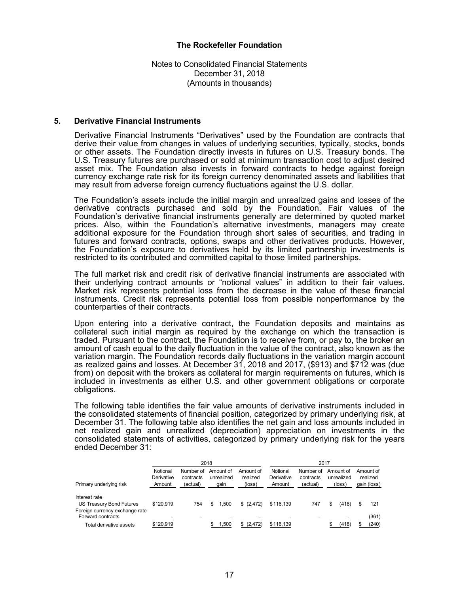Notes to Consolidated Financial Statements December 31, 2018 (Amounts in thousands)

#### **5. Derivative Financial Instruments**

Derivative Financial Instruments "Derivatives" used by the Foundation are contracts that derive their value from changes in values of underlying securities, typically, stocks, bonds or other assets. The Foundation directly invests in futures on U.S. Treasury bonds. The U.S. Treasury futures are purchased or sold at minimum transaction cost to adjust desired asset mix. The Foundation also invests in forward contracts to hedge against foreign currency exchange rate risk for its foreign currency denominated assets and liabilities that may result from adverse foreign currency fluctuations against the U.S. dollar.

The Foundation's assets include the initial margin and unrealized gains and losses of the derivative contracts purchased and sold by the Foundation. Fair values of the Foundation's derivative financial instruments generally are determined by quoted market prices. Also, within the Foundation's alternative investments, managers may create additional exposure for the Foundation through short sales of securities, and trading in futures and forward contracts, options, swaps and other derivatives products. However, the Foundation's exposure to derivatives held by its limited partnership investments is restricted to its contributed and committed capital to those limited partnerships.

The full market risk and credit risk of derivative financial instruments are associated with their underlying contract amounts or "notional values" in addition to their fair values. Market risk represents potential loss from the decrease in the value of these financial instruments. Credit risk represents potential loss from possible nonperformance by the counterparties of their contracts.

Upon entering into a derivative contract, the Foundation deposits and maintains as collateral such initial margin as required by the exchange on which the transaction is traded. Pursuant to the contract, the Foundation is to receive from, or pay to, the broker an amount of cash equal to the daily fluctuation in the value of the contract, also known as the variation margin. The Foundation records daily fluctuations in the variation margin account as realized gains and losses. At December 31, 2018 and 2017, (\$913) and \$712 was (due from) on deposit with the brokers as collateral for margin requirements on futures, which is included in investments as either U.S. and other government obligations or corporate obligations.

The following table identifies the fair value amounts of derivative instruments included in the consolidated statements of financial position, categorized by primary underlying risk, at December 31. The following table also identifies the net gain and loss amounts included in net realized gain and unrealized (depreciation) appreciation on investments in the consolidated statements of activities, categorized by primary underlying risk for the years ended December 31:

|                                                                             | 2018                             |                                    |                                 |                                 | 2017                             |                                    |                                   |                                      |  |  |
|-----------------------------------------------------------------------------|----------------------------------|------------------------------------|---------------------------------|---------------------------------|----------------------------------|------------------------------------|-----------------------------------|--------------------------------------|--|--|
| Primary underlying risk                                                     | Notional<br>Derivative<br>Amount | Number of<br>contracts<br>(actual) | Amount of<br>unrealized<br>gain | Amount of<br>realized<br>(loss) | Notional<br>Derivative<br>Amount | Number of<br>contracts<br>(actual) | Amount of<br>unrealized<br>(loss) | Amount of<br>realized<br>gain (loss) |  |  |
| Interest rate<br>US Treasury Bond Futures<br>Foreign currency exchange rate | \$120.919                        | 754                                | 1.500<br>\$                     | \$ (2,472)                      | \$116.139                        | 747                                | (418)<br>\$                       | 121                                  |  |  |
| Forward contracts                                                           |                                  |                                    |                                 |                                 |                                  |                                    |                                   | (361)                                |  |  |
| Total derivative assets                                                     | \$120,919                        |                                    | .500                            | \$(2,472)                       | \$116,139                        |                                    | (418)                             | (240)                                |  |  |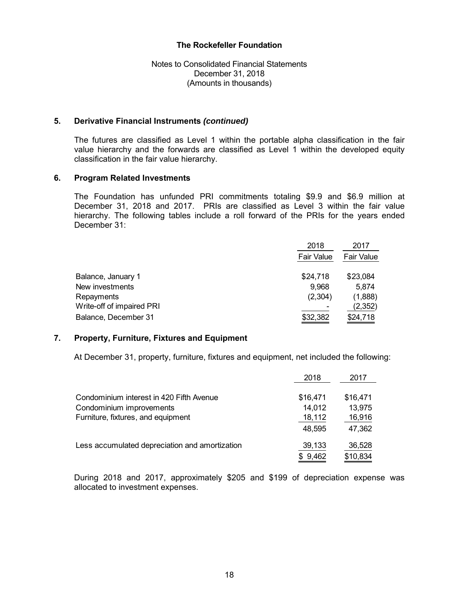Notes to Consolidated Financial Statements December 31, 2018 (Amounts in thousands)

#### **5. Derivative Financial Instruments** *(continued)*

The futures are classified as Level 1 within the portable alpha classification in the fair value hierarchy and the forwards are classified as Level 1 within the developed equity classification in the fair value hierarchy.

#### **6. Program Related Investments**

The Foundation has unfunded PRI commitments totaling \$9.9 and \$6.9 million at December 31, 2018 and 2017. PRIs are classified as Level 3 within the fair value hierarchy. The following tables include a roll forward of the PRIs for the years ended December 31:

|                           | 2018              | 2017              |
|---------------------------|-------------------|-------------------|
|                           | <b>Fair Value</b> | <b>Fair Value</b> |
| Balance, January 1        | \$24,718          | \$23,084          |
| New investments           | 9,968             | 5,874             |
| Repayments                | (2,304)           | (1,888)           |
| Write-off of impaired PRI |                   | (2,352)           |
| Balance, December 31      | \$32,382          | \$24,718          |

# **7. Property, Furniture, Fixtures and Equipment**

At December 31, property, furniture, fixtures and equipment, net included the following:

|                                                | 2018     | 2017     |
|------------------------------------------------|----------|----------|
| Condominium interest in 420 Fifth Avenue       | \$16,471 | \$16,471 |
| Condominium improvements                       | 14,012   | 13,975   |
| Furniture, fixtures, and equipment             | 18,112   | 16,916   |
|                                                | 48,595   | 47,362   |
| Less accumulated depreciation and amortization | 39,133   | 36,528   |
|                                                | \$9,462  | \$10,834 |

During 2018 and 2017, approximately \$205 and \$199 of depreciation expense was allocated to investment expenses.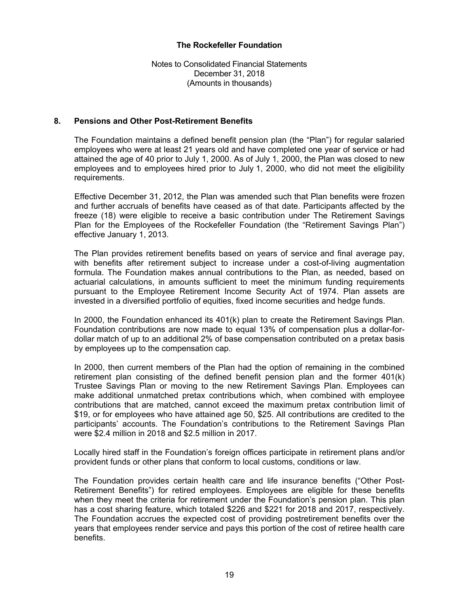Notes to Consolidated Financial Statements December 31, 2018 (Amounts in thousands)

# **8. Pensions and Other Post-Retirement Benefits**

The Foundation maintains a defined benefit pension plan (the "Plan") for regular salaried employees who were at least 21 years old and have completed one year of service or had attained the age of 40 prior to July 1, 2000. As of July 1, 2000, the Plan was closed to new employees and to employees hired prior to July 1, 2000, who did not meet the eligibility requirements.

Effective December 31, 2012, the Plan was amended such that Plan benefits were frozen and further accruals of benefits have ceased as of that date. Participants affected by the freeze (18) were eligible to receive a basic contribution under The Retirement Savings Plan for the Employees of the Rockefeller Foundation (the "Retirement Savings Plan") effective January 1, 2013.

The Plan provides retirement benefits based on years of service and final average pay, with benefits after retirement subject to increase under a cost-of-living augmentation formula. The Foundation makes annual contributions to the Plan, as needed, based on actuarial calculations, in amounts sufficient to meet the minimum funding requirements pursuant to the Employee Retirement Income Security Act of 1974. Plan assets are invested in a diversified portfolio of equities, fixed income securities and hedge funds.

In 2000, the Foundation enhanced its 401(k) plan to create the Retirement Savings Plan. Foundation contributions are now made to equal 13% of compensation plus a dollar-fordollar match of up to an additional 2% of base compensation contributed on a pretax basis by employees up to the compensation cap.

In 2000, then current members of the Plan had the option of remaining in the combined retirement plan consisting of the defined benefit pension plan and the former 401(k) Trustee Savings Plan or moving to the new Retirement Savings Plan. Employees can make additional unmatched pretax contributions which, when combined with employee contributions that are matched, cannot exceed the maximum pretax contribution limit of \$19, or for employees who have attained age 50, \$25. All contributions are credited to the participants' accounts. The Foundation's contributions to the Retirement Savings Plan were \$2.4 million in 2018 and \$2.5 million in 2017.

Locally hired staff in the Foundation's foreign offices participate in retirement plans and/or provident funds or other plans that conform to local customs, conditions or law.

The Foundation provides certain health care and life insurance benefits ("Other Post-Retirement Benefits") for retired employees. Employees are eligible for these benefits when they meet the criteria for retirement under the Foundation's pension plan. This plan has a cost sharing feature, which totaled \$226 and \$221 for 2018 and 2017, respectively. The Foundation accrues the expected cost of providing postretirement benefits over the years that employees render service and pays this portion of the cost of retiree health care benefits.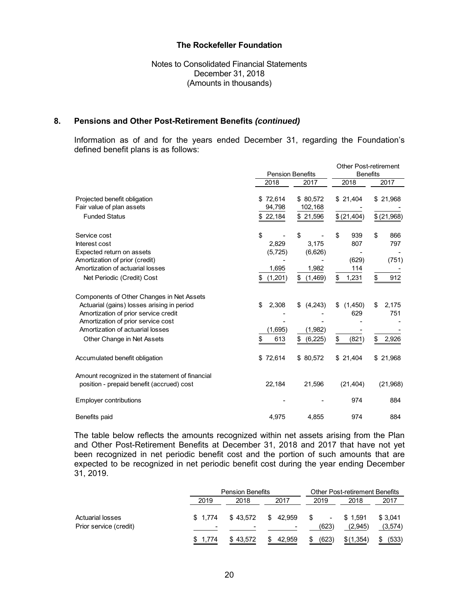# Notes to Consolidated Financial Statements December 31, 2018 (Amounts in thousands)

#### **8. Pensions and Other Post-Retirement Benefits** *(continued)*

Information as of and for the years ended December 31, regarding the Foundation's defined benefit plans is as follows:

|                                                 |                         |                | <b>Other Post-retirement</b> |             |
|-------------------------------------------------|-------------------------|----------------|------------------------------|-------------|
|                                                 | <b>Pension Benefits</b> |                | <b>Benefits</b>              |             |
|                                                 | 2018                    | 2017           | 2018                         | 2017        |
|                                                 |                         |                |                              |             |
| Projected benefit obligation                    | \$72,614                | \$80,572       | \$21,404                     | \$21,968    |
| Fair value of plan assets                       | 94,798                  | 102,168        |                              |             |
| <b>Funded Status</b>                            | \$22,184                | \$ 21,596      | \$ (21, 404)                 | \$(21,968)  |
|                                                 |                         |                |                              |             |
| Service cost                                    | \$                      | \$             | \$<br>939                    | \$<br>866   |
| Interest cost                                   | 2,829                   | 3,175          | 807                          | 797         |
| Expected return on assets                       | (5, 725)                | (6,626)        |                              |             |
| Amortization of prior (credit)                  |                         |                | (629)                        | (751)       |
| Amortization of actuarial losses                | 1,695                   | 1,982          | 114                          |             |
| Net Periodic (Credit) Cost                      | (1,201)<br>\$           | \$<br>(1, 469) | \$<br>1,231                  | \$<br>912   |
|                                                 |                         |                |                              |             |
| Components of Other Changes in Net Assets       |                         |                |                              |             |
| Actuarial (gains) losses arising in period      | 2,308<br>\$             | (4,243)<br>\$  | \$<br>(1,450)                | 2,175<br>\$ |
| Amortization of prior service credit            |                         |                | 629                          | 751         |
| Amortization of prior service cost              |                         |                |                              |             |
| Amortization of actuarial losses                | (1,695)                 | (1,982)        |                              |             |
| Other Change in Net Assets                      | 613<br>\$               | \$<br>(6,225)  | \$<br>(821)                  | \$<br>2,926 |
|                                                 |                         |                |                              |             |
| Accumulated benefit obligation                  | \$72,614                | \$80,572       | \$21,404                     | \$21,968    |
|                                                 |                         |                |                              |             |
| Amount recognized in the statement of financial |                         |                |                              |             |
| position - prepaid benefit (accrued) cost       | 22,184                  | 21,596         | (21, 404)                    | (21,968)    |
|                                                 |                         |                |                              |             |
| <b>Employer contributions</b>                   |                         |                | 974                          | 884         |
|                                                 |                         |                |                              |             |
| Benefits paid                                   | 4,975                   | 4,855          | 974                          | 884         |

The table below reflects the amounts recognized within net assets arising from the Plan and Other Post-Retirement Benefits at December 31, 2018 and 2017 that have not yet been recognized in net periodic benefit cost and the portion of such amounts that are expected to be recognized in net periodic benefit cost during the year ending December 31, 2019.

|                                            |                                     | <b>Pension Benefits</b> |                                      |                                           | Other Post-retirement Benefits |                     |
|--------------------------------------------|-------------------------------------|-------------------------|--------------------------------------|-------------------------------------------|--------------------------------|---------------------|
|                                            | 2019                                | 2018                    | 2017                                 | 2019                                      | 2018                           | 2017                |
| Actuarial losses<br>Prior service (credit) | \$1.774<br>$\overline{\phantom{0}}$ | \$43.572                | \$42,959<br>$\overline{\phantom{0}}$ | - \$<br>$\overline{\phantom{a}}$<br>(623) | \$1.591<br>(2.945)             | \$ 3.041<br>(3,574) |
|                                            | \$ 1,774                            | \$43,572                | 42,959<br>\$.                        | (623)                                     | \$(1,354)                      | (533)               |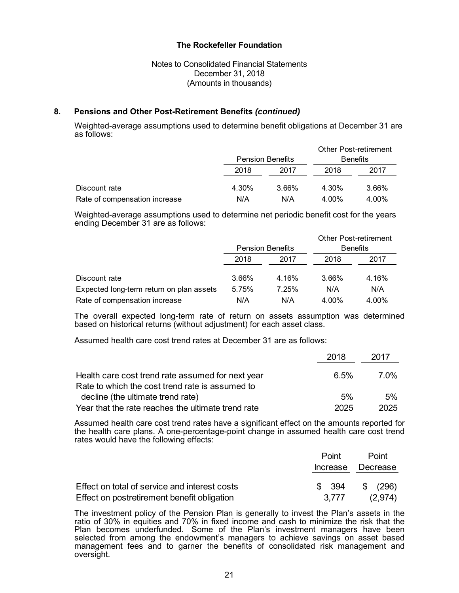# Notes to Consolidated Financial Statements December 31, 2018 (Amounts in thousands)

# **8. Pensions and Other Post-Retirement Benefits** *(continued)*

Weighted-average assumptions used to determine benefit obligations at December 31 are as follows:

|                               |       |                         |       | <b>Other Post-retirement</b> |
|-------------------------------|-------|-------------------------|-------|------------------------------|
|                               |       | <b>Pension Benefits</b> |       | <b>Benefits</b>              |
|                               | 2018  | 2017                    | 2018  | 2017                         |
| Discount rate                 | 4.30% | 3.66%                   | 4.30% | 3.66%                        |
| Rate of compensation increase | N/A   | N/A                     | 4.00% | 4.00%                        |

Weighted-average assumptions used to determine net periodic benefit cost for the years ending December 31 are as follows:

|                                          |       |                         |       | <b>Other Post-retirement</b> |
|------------------------------------------|-------|-------------------------|-------|------------------------------|
|                                          |       | <b>Pension Benefits</b> |       | <b>Benefits</b>              |
|                                          | 2018  | 2017                    | 2018  | 2017                         |
| Discount rate                            | 3.66% | 4.16%                   | 3.66% | 4.16%                        |
| Expected long-term return on plan assets | 5.75% | 7.25%                   | N/A   | N/A                          |
| Rate of compensation increase            | N/A   | N/A                     | 4.00% | 4.00%                        |

The overall expected long-term rate of return on assets assumption was determined based on historical returns (without adjustment) for each asset class.

Assumed health care cost trend rates at December 31 are as follows:

|                                                    | 2018 | 2017 |
|----------------------------------------------------|------|------|
| Health care cost trend rate assumed for next year  | ი 5% | 7 በ% |
| Rate to which the cost trend rate is assumed to    |      |      |
| decline (the ultimate trend rate)                  | 5%   | 5%   |
| Year that the rate reaches the ultimate trend rate | 2025 | 2025 |

Assumed health care cost trend rates have a significant effect on the amounts reported for the health care plans. A one-percentage-point change in assumed health care cost trend rates would have the following effects:

|                                               | Point | Point             |
|-----------------------------------------------|-------|-------------------|
|                                               |       | Increase Decrease |
| Effect on total of service and interest costs |       | $$394$ $$(296)$   |
| Effect on postretirement benefit obligation   | 3.777 | (2,974)           |

The investment policy of the Pension Plan is generally to invest the Plan's assets in the ratio of 30% in equities and 70% in fixed income and cash to minimize the risk that the Plan becomes underfunded. Some of the Plan's investment managers have been selected from among the endowment's managers to achieve savings on asset based management fees and to garner the benefits of consolidated risk management and oversight.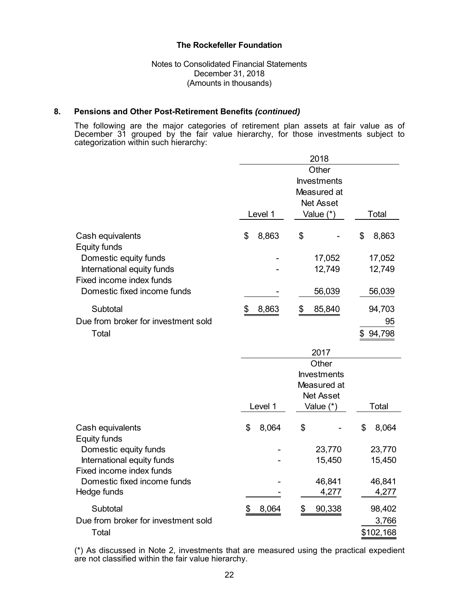# Notes to Consolidated Financial Statements December 31, 2018 (Amounts in thousands)

### **8. Pensions and Other Post-Retirement Benefits** *(continued)*

The following are the major categories of retirement plan assets at fair value as of December 31 grouped by the fair value hierarchy, for those investments subject to categorization within such hierarchy:

|                                         |             | 2018             |              |
|-----------------------------------------|-------------|------------------|--------------|
|                                         |             | Other            |              |
|                                         |             | Investments      |              |
|                                         |             | Measured at      |              |
|                                         |             | <b>Net Asset</b> |              |
|                                         | Level 1     | Value (*)        | Total        |
| Cash equivalents<br><b>Equity funds</b> | \$<br>8,863 | \$               | 8,863<br>\$  |
| Domestic equity funds                   |             | 17,052           | 17,052       |
| International equity funds              |             | 12,749           | 12,749       |
| Fixed income index funds                |             |                  |              |
| Domestic fixed income funds             |             | 56,039           | 56,039       |
| Subtotal                                | 8,863<br>\$ | 85,840<br>\$     | 94,703       |
| Due from broker for investment sold     |             |                  | 95           |
| <b>Total</b>                            |             |                  | 94,798<br>\$ |
|                                         |             | 2017             |              |
|                                         |             | Other            |              |
|                                         |             | Investments      |              |
|                                         |             | Measured at      |              |
|                                         |             | <b>Net Asset</b> |              |
|                                         | Level 1     | Value (*)        | Total        |
| Cash equivalents<br><b>Equity funds</b> | 8,064<br>\$ | \$               | \$<br>8,064  |
| Domestic equity funds                   |             | 23,770           | 23,770       |
| International equity funds              |             | 15,450           | 15,450       |
| Fixed income index funds                |             |                  |              |
| Domestic fixed income funds             |             | 46,841           | 46,841       |
| Hedge funds                             |             | 4,277            | 4,277        |
| Subtotal                                | \$<br>8,064 | \$<br>90,338     | 98,402       |
| Due from broker for investment sold     |             |                  | 3,766        |
| Total                                   |             |                  | \$102,168    |

(\*) As discussed in Note 2, investments that are measured using the practical expedient are not classified within the fair value hierarchy.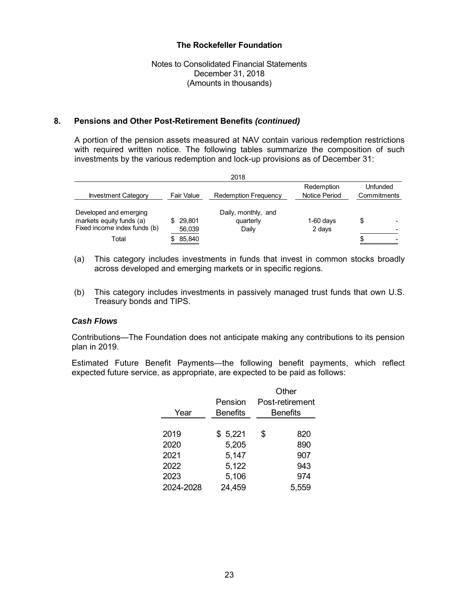# Notes to Consolidated Financial Statements December 31, 2018 (Amounts in thousands)

# **8. Pensions and Other Post-Retirement Benefits** *(continued)*

A portion of the pension assets measured at NAV contain various redemption restrictions with required written notice. The following tables summarize the composition of such investments by the various redemption and lock-up provisions as of December 31:

|                                                                                             |                                  | 2018                                      |                                    |                         |
|---------------------------------------------------------------------------------------------|----------------------------------|-------------------------------------------|------------------------------------|-------------------------|
| <b>Investment Category</b>                                                                  | Fair Value                       | <b>Redemption Frequency</b>               | Redemption<br><b>Notice Period</b> | Unfunded<br>Commitments |
| Developed and emerging<br>markets equity funds (a)<br>Fixed income index funds (b)<br>Total | 29.801<br>\$<br>56,039<br>85,840 | Daily, monthly, and<br>quarterly<br>Daily | $1-60$ days<br>2 days              | \$                      |

- (a) This category includes investments in funds that invest in common stocks broadly across developed and emerging markets or in specific regions.
- (b) This category includes investments in passively managed trust funds that own U.S. Treasury bonds and TIPS.

## *Cash Flows*

Contributions—The Foundation does not anticipate making any contributions to its pension plan in 2019.

Estimated Future Benefit Payments*—*the following benefit payments, which reflect expected future service, as appropriate, are expected to be paid as follows:

|           |                 | Other           |
|-----------|-----------------|-----------------|
|           | Pension         | Post-retirement |
| Year      | <b>Benefits</b> | <b>Benefits</b> |
|           |                 |                 |
| 2019      | \$5,221         | \$<br>820       |
| 2020      | 5,205           | 890             |
| 2021      | 5,147           | 907             |
| 2022      | 5,122           | 943             |
| 2023      | 5,106           | 974             |
| 2024-2028 | 24,459          | 5,559           |
|           |                 |                 |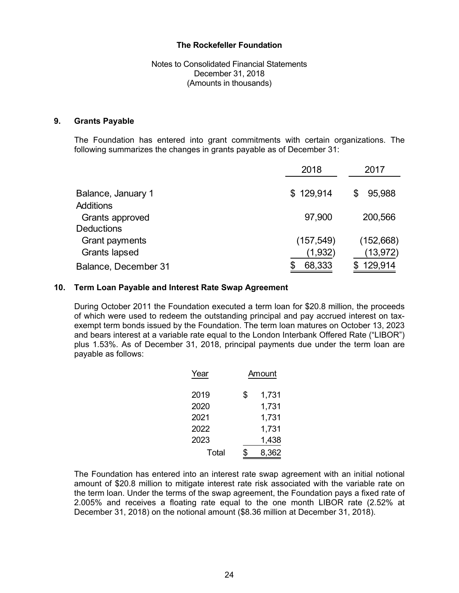# Notes to Consolidated Financial Statements December 31, 2018 (Amounts in thousands)

#### **9. Grants Payable**

The Foundation has entered into grant commitments with certain organizations. The following summarizes the changes in grants payable as of December 31:

|                      | 2018       | 2017       |
|----------------------|------------|------------|
| Balance, January 1   | \$129,914  | 95,988     |
| Additions            |            |            |
| Grants approved      | 97,900     | 200,566    |
| <b>Deductions</b>    |            |            |
| Grant payments       | (157, 549) | (152, 668) |
| Grants lapsed        | (1, 932)   | (13, 972)  |
| Balance, December 31 | 68,333     | 129,914    |

#### **10. Term Loan Payable and Interest Rate Swap Agreement**

During October 2011 the Foundation executed a term loan for \$20.8 million, the proceeds of which were used to redeem the outstanding principal and pay accrued interest on taxexempt term bonds issued by the Foundation. The term loan matures on October 13, 2023 and bears interest at a variable rate equal to the London Interbank Offered Rate ("LIBOR") plus 1.53%. As of December 31, 2018, principal payments due under the term loan are payable as follows:

| Year  | Amount |       |  |
|-------|--------|-------|--|
| 2019  | \$     | 1,731 |  |
| 2020  |        | 1,731 |  |
| 2021  |        | 1,731 |  |
| 2022  |        | 1,731 |  |
| 2023  |        | 1,438 |  |
| Total |        | 8,362 |  |

The Foundation has entered into an interest rate swap agreement with an initial notional amount of \$20.8 million to mitigate interest rate risk associated with the variable rate on the term loan. Under the terms of the swap agreement, the Foundation pays a fixed rate of 2.005% and receives a floating rate equal to the one month LIBOR rate (2.52% at December 31, 2018) on the notional amount (\$8.36 million at December 31, 2018).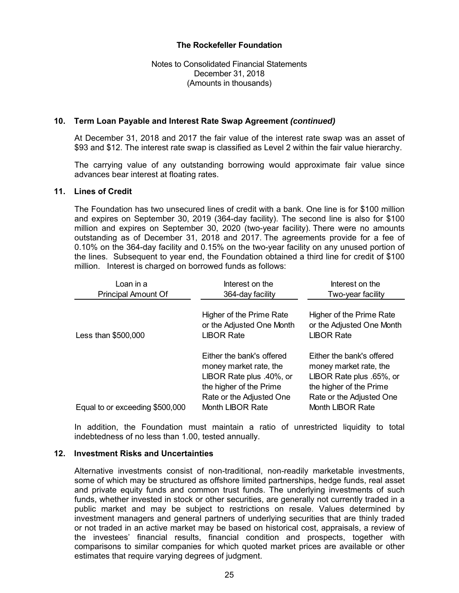Notes to Consolidated Financial Statements December 31, 2018 (Amounts in thousands)

### **10. Term Loan Payable and Interest Rate Swap Agreement** *(continued)*

At December 31, 2018 and 2017 the fair value of the interest rate swap was an asset of \$93 and \$12. The interest rate swap is classified as Level 2 within the fair value hierarchy.

The carrying value of any outstanding borrowing would approximate fair value since advances bear interest at floating rates.

### **11. Lines of Credit**

The Foundation has two unsecured lines of credit with a bank. One line is for \$100 million and expires on September 30, 2019 (364-day facility). The second line is also for \$100 million and expires on September 30, 2020 (two-year facility). There were no amounts outstanding as of December 31, 2018 and 2017. The agreements provide for a fee of 0.10% on the 364-day facility and 0.15% on the two-year facility on any unused portion of the lines. Subsequent to year end, the Foundation obtained a third line for credit of \$100 million. Interest is charged on borrowed funds as follows:

| Loan in a                       | Interest on the                                                                                                                                                   | Interest on the                                                                                                                                            |
|---------------------------------|-------------------------------------------------------------------------------------------------------------------------------------------------------------------|------------------------------------------------------------------------------------------------------------------------------------------------------------|
| <b>Principal Amount Of</b>      | 364-day facility                                                                                                                                                  | Two-year facility                                                                                                                                          |
| Less than \$500,000             | Higher of the Prime Rate<br>or the Adjusted One Month<br><b>LIBOR Rate</b>                                                                                        | Higher of the Prime Rate<br>or the Adjusted One Month<br><b>LIBOR Rate</b>                                                                                 |
| Equal to or exceeding \$500,000 | Either the bank's offered<br>money market rate, the<br>LIBOR Rate plus .40%, or<br>the higher of the Prime<br>Rate or the Adjusted One<br><b>Month LIBOR Rate</b> | Either the bank's offered<br>money market rate, the<br>LIBOR Rate plus .65%, or<br>the higher of the Prime<br>Rate or the Adjusted One<br>Month LIBOR Rate |

In addition, the Foundation must maintain a ratio of unrestricted liquidity to total indebtedness of no less than 1.00, tested annually.

### **12. Investment Risks and Uncertainties**

Alternative investments consist of non-traditional, non-readily marketable investments, some of which may be structured as offshore limited partnerships, hedge funds, real asset and private equity funds and common trust funds. The underlying investments of such funds, whether invested in stock or other securities, are generally not currently traded in a public market and may be subject to restrictions on resale. Values determined by investment managers and general partners of underlying securities that are thinly traded or not traded in an active market may be based on historical cost, appraisals, a review of the investees' financial results, financial condition and prospects, together with comparisons to similar companies for which quoted market prices are available or other estimates that require varying degrees of judgment.